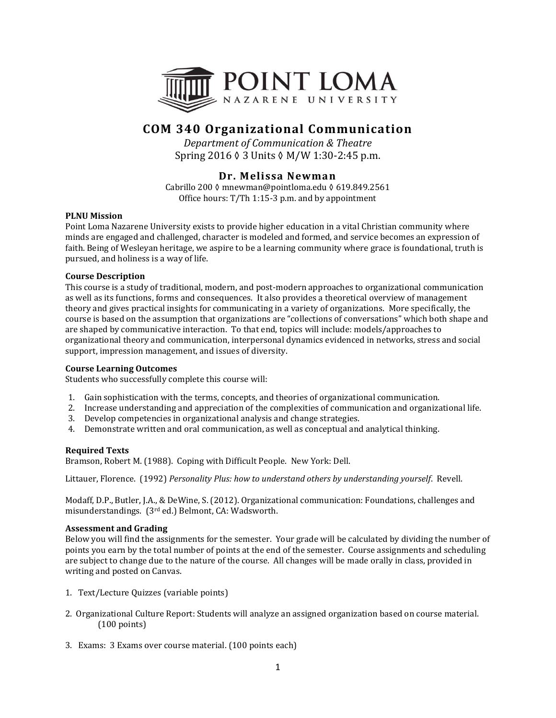

# **COM 340 Organizational Communication**

*Department of Communication & Theatre* Spring 2016 ◊ 3 Units ◊ M/W 1:30-2:45 p.m.

## **Dr. Melissa Newman**

Cabrillo 200 ◊ mnewman@pointloma.edu ◊ 619.849.2561 Office hours: T/Th 1:15-3 p.m. and by appointment

## **PLNU Mission**

Point Loma Nazarene University exists to provide higher education in a vital Christian community where minds are engaged and challenged, character is modeled and formed, and service becomes an expression of faith. Being of Wesleyan heritage, we aspire to be a learning community where grace is foundational, truth is pursued, and holiness is a way of life.

## **Course Description**

This course is a study of traditional, modern, and post-modern approaches to organizational communication as well as its functions, forms and consequences. It also provides a theoretical overview of management theory and gives practical insights for communicating in a variety of organizations. More specifically, the course is based on the assumption that organizations are "collections of conversations" which both shape and are shaped by communicative interaction. To that end, topics will include: models/approaches to organizational theory and communication, interpersonal dynamics evidenced in networks, stress and social support, impression management, and issues of diversity.

## **Course Learning Outcomes**

Students who successfully complete this course will:

- 1. Gain sophistication with the terms, concepts, and theories of organizational communication.
- 2. Increase understanding and appreciation of the complexities of communication and organizational life.
- 3. Develop competencies in organizational analysis and change strategies.
- 4. Demonstrate written and oral communication, as well as conceptual and analytical thinking.

## **Required Texts**

Bramson, Robert M. (1988). Coping with Difficult People. New York: Dell.

Littauer, Florence. (1992) *Personality Plus: how to understand others by understanding yourself*. Revell.

Modaff, D.P., Butler, J.A., & DeWine, S. (2012). Organizational communication: Foundations, challenges and misunderstandings. (3rd ed.) Belmont, CA: Wadsworth.

## **Assessment and Grading**

Below you will find the assignments for the semester. Your grade will be calculated by dividing the number of points you earn by the total number of points at the end of the semester. Course assignments and scheduling are subject to change due to the nature of the course. All changes will be made orally in class, provided in writing and posted on Canvas.

- 1. Text/Lecture Quizzes (variable points)
- 2. Organizational Culture Report: Students will analyze an assigned organization based on course material. (100 points)
- 3. Exams: 3 Exams over course material. (100 points each)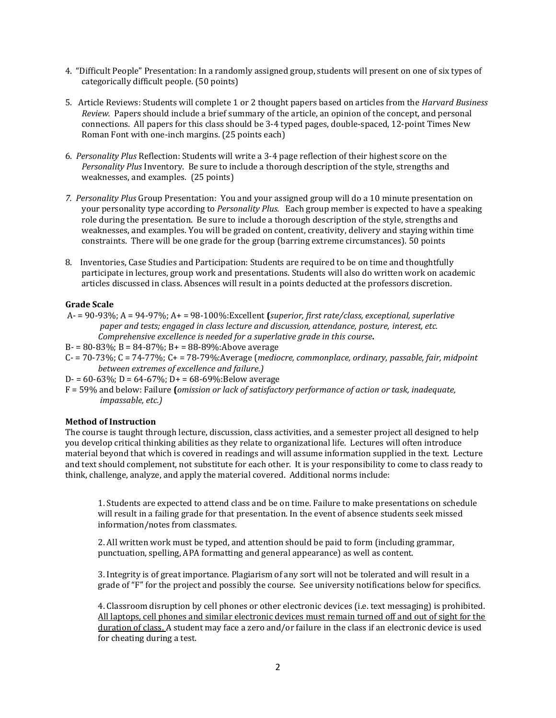- 4. "Difficult People" Presentation: In a randomly assigned group, students will present on one of six types of categorically difficult people. (50 points)
- 5. Article Reviews: Students will complete 1 or 2 thought papers based on articles from the *Harvard Business Review.* Papers should include a brief summary of the article, an opinion of the concept, and personal connections. All papers for this class should be 3-4 typed pages, double-spaced, 12-point Times New Roman Font with one-inch margins. (25 points each)
- 6. *Personality Plus* Reflection: Students will write a 3-4 page reflection of their highest score on the *Personality Plus* Inventory. Be sure to include a thorough description of the style, strengths and weaknesses, and examples. (25 points)
- *7. Personality Plus* Group Presentation: You and your assigned group will do a 10 minute presentation on your personality type according to *Personality Plus.* Each group member is expected to have a speaking role during the presentation. Be sure to include a thorough description of the style, strengths and weaknesses, and examples. You will be graded on content, creativity, delivery and staying within time constraints. There will be one grade for the group (barring extreme circumstances). 50 points
- 8. Inventories, Case Studies and Participation: Students are required to be on time and thoughtfully participate in lectures, group work and presentations. Students will also do written work on academic articles discussed in class. Absences will result in a points deducted at the professors discretion.

## **Grade Scale**

- A- = 90-93%; A = 94-97%; A+ = 98-100%:Excellent **(***superior, first rate/class, exceptional, superlative paper and tests; engaged in class lecture and discussion, attendance, posture, interest, etc. Comprehensive excellence is needed for a superlative grade in this course***.**
- B $= 80 83\%$ ; B = 84 $-87\%$ ; B + = 88 $-89\%$ : Above average
- C- = 70-73%; C = 74-77%; C+ = 78-79%:Average (*mediocre, commonplace, ordinary, passable, fair, midpoint between extremes of excellence and failure.)*
- D- =  $60-63\%$ ; D =  $64-67\%$ ; D + =  $68-69\%$ : Below average
- F = 59% and below: Failure **(***omission or lack of satisfactory performance of action or task, inadequate, impassable, etc.)*

#### **Method of Instruction**

The course is taught through lecture, discussion, class activities, and a semester project all designed to help you develop critical thinking abilities as they relate to organizational life. Lectures will often introduce material beyond that which is covered in readings and will assume information supplied in the text. Lecture and text should complement, not substitute for each other. It is your responsibility to come to class ready to think, challenge, analyze, and apply the material covered. Additional norms include:

1. Students are expected to attend class and be on time. Failure to make presentations on schedule will result in a failing grade for that presentation. In the event of absence students seek missed information/notes from classmates.

2. All written work must be typed, and attention should be paid to form (including grammar, punctuation, spelling, APA formatting and general appearance) as well as content.

3. Integrity is of great importance. Plagiarism of any sort will not be tolerated and will result in a grade of "F" for the project and possibly the course. See university notifications below for specifics.

4. Classroom disruption by cell phones or other electronic devices (i.e. text messaging) is prohibited. All laptops, cell phones and similar electronic devices must remain turned off and out of sight for the duration of class. A student may face a zero and/or failure in the class if an electronic device is used for cheating during a test.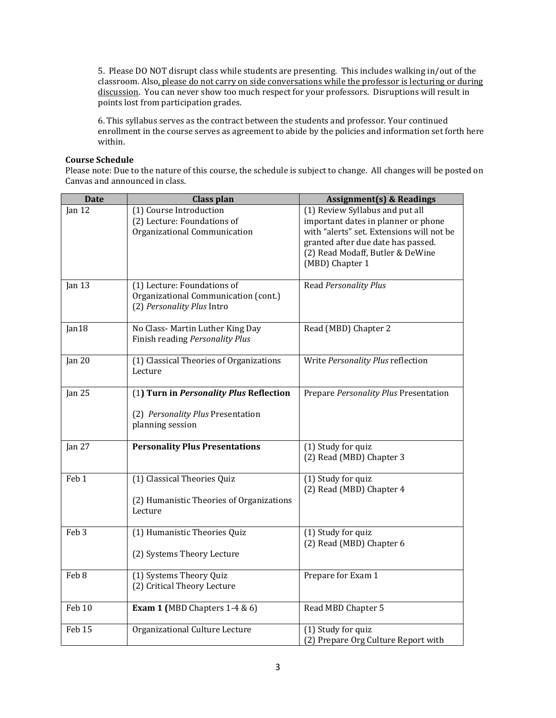5. Please DO NOT disrupt class while students are presenting. This includes walking in/out of the classroom. Also, please do not carry on side conversations while the professor is lecturing or during discussion. You can never show too much respect for your professors. Disruptions will result in points lost from participation grades.

6. This syllabus serves as the contract between the students and professor. Your continued enrollment in the course serves as agreement to abide by the policies and information set forth here within.

## **Course Schedule**

Please note: Due to the nature of this course, the schedule is subject to change. All changes will be posted on Canvas and announced in class.

| <b>Date</b>       | <b>Class plan</b>                                                                                 | <b>Assignment(s) &amp; Readings</b>                                                                                                                                                                              |
|-------------------|---------------------------------------------------------------------------------------------------|------------------------------------------------------------------------------------------------------------------------------------------------------------------------------------------------------------------|
| Jan <sub>12</sub> | (1) Course Introduction<br>(2) Lecture: Foundations of<br>Organizational Communication            | (1) Review Syllabus and put all<br>important dates in planner or phone<br>with "alerts" set. Extensions will not be<br>granted after due date has passed.<br>(2) Read Modaff, Butler & DeWine<br>(MBD) Chapter 1 |
| Jan 13            | (1) Lecture: Foundations of<br>Organizational Communication (cont.)<br>(2) Personality Plus Intro | Read Personality Plus                                                                                                                                                                                            |
| Jan18             | No Class-Martin Luther King Day<br>Finish reading Personality Plus                                | Read (MBD) Chapter 2                                                                                                                                                                                             |
| Jan 20            | (1) Classical Theories of Organizations<br>Lecture                                                | Write Personality Plus reflection                                                                                                                                                                                |
| Jan $25$          | (1) Turn in Personality Plus Reflection<br>(2) Personality Plus Presentation<br>planning session  | Prepare Personality Plus Presentation                                                                                                                                                                            |
| Jan 27            | <b>Personality Plus Presentations</b>                                                             | (1) Study for quiz<br>(2) Read (MBD) Chapter 3                                                                                                                                                                   |
| Feb <sub>1</sub>  | (1) Classical Theories Quiz<br>(2) Humanistic Theories of Organizations<br>Lecture                | (1) Study for quiz<br>(2) Read (MBD) Chapter 4                                                                                                                                                                   |
| Feb <sub>3</sub>  | (1) Humanistic Theories Quiz<br>(2) Systems Theory Lecture                                        | (1) Study for quiz<br>(2) Read (MBD) Chapter 6                                                                                                                                                                   |
| Feb 8             | (1) Systems Theory Quiz<br>(2) Critical Theory Lecture                                            | Prepare for Exam 1                                                                                                                                                                                               |
| Feb <sub>10</sub> | Exam 1 (MBD Chapters $1-4 & 6$ )                                                                  | Read MBD Chapter 5                                                                                                                                                                                               |
| Feb 15            | Organizational Culture Lecture                                                                    | (1) Study for quiz<br>(2) Prepare Org Culture Report with                                                                                                                                                        |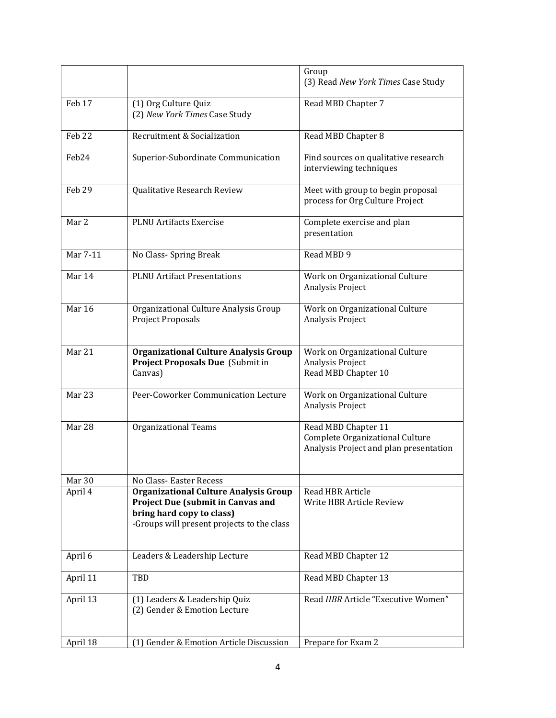|                   |                                                                                                                                                                     | Group<br>(3) Read New York Times Case Study                                                      |
|-------------------|---------------------------------------------------------------------------------------------------------------------------------------------------------------------|--------------------------------------------------------------------------------------------------|
| Feb 17            | (1) Org Culture Quiz<br>(2) New York Times Case Study                                                                                                               | Read MBD Chapter 7                                                                               |
| Feb <sub>22</sub> | Recruitment & Socialization                                                                                                                                         | Read MBD Chapter 8                                                                               |
| Feb <sub>24</sub> | Superior-Subordinate Communication                                                                                                                                  | Find sources on qualitative research<br>interviewing techniques                                  |
| Feb <sub>29</sub> | Qualitative Research Review                                                                                                                                         | Meet with group to begin proposal<br>process for Org Culture Project                             |
| Mar 2             | <b>PLNU</b> Artifacts Exercise                                                                                                                                      | Complete exercise and plan<br>presentation                                                       |
| Mar 7-11          | No Class- Spring Break                                                                                                                                              | Read MBD 9                                                                                       |
| Mar 14            | <b>PLNU Artifact Presentations</b>                                                                                                                                  | Work on Organizational Culture<br>Analysis Project                                               |
| Mar 16            | Organizational Culture Analysis Group<br>Project Proposals                                                                                                          | Work on Organizational Culture<br>Analysis Project                                               |
| Mar 21            | <b>Organizational Culture Analysis Group</b><br>Project Proposals Due (Submit in<br>Canvas)                                                                         | Work on Organizational Culture<br>Analysis Project<br>Read MBD Chapter 10                        |
| Mar 23            | Peer-Coworker Communication Lecture                                                                                                                                 | Work on Organizational Culture<br>Analysis Project                                               |
| Mar 28            | <b>Organizational Teams</b>                                                                                                                                         | Read MBD Chapter 11<br>Complete Organizational Culture<br>Analysis Project and plan presentation |
| Mar 30            | No Class-Easter Recess                                                                                                                                              |                                                                                                  |
| April 4           | <b>Organizational Culture Analysis Group</b><br><b>Project Due (submit in Canvas and</b><br>bring hard copy to class)<br>-Groups will present projects to the class | Read HBR Article<br>Write HBR Article Review                                                     |
| April 6           | Leaders & Leadership Lecture                                                                                                                                        | Read MBD Chapter 12                                                                              |
| April 11          | TBD                                                                                                                                                                 | Read MBD Chapter 13                                                                              |
| April 13          | (1) Leaders & Leadership Quiz<br>(2) Gender & Emotion Lecture                                                                                                       | Read HBR Article "Executive Women"                                                               |
| April 18          | (1) Gender & Emotion Article Discussion                                                                                                                             | Prepare for Exam 2                                                                               |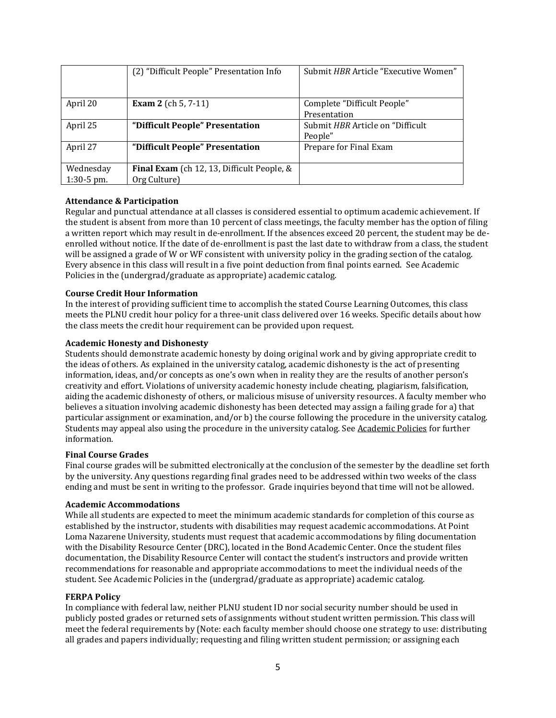|              | (2) "Difficult People" Presentation Info   | Submit HBR Article "Executive Women" |
|--------------|--------------------------------------------|--------------------------------------|
|              |                                            |                                      |
| April 20     | <b>Exam 2</b> (ch 5, 7-11)                 | Complete "Difficult People"          |
|              |                                            | Presentation                         |
| April 25     | "Difficult People" Presentation            | Submit HBR Article on "Difficult     |
|              |                                            | People"                              |
| April 27     | "Difficult People" Presentation            | Prepare for Final Exam               |
|              |                                            |                                      |
| Wednesday    | Final Exam (ch 12, 13, Difficult People, & |                                      |
| $1:30-5$ pm. | Org Culture)                               |                                      |

## **Attendance & Participation**

Regular and punctual attendance at all classes is considered essential to optimum academic achievement. If the student is absent from more than 10 percent of class meetings, the faculty member has the option of filing a written report which may result in de-enrollment. If the absences exceed 20 percent, the student may be deenrolled without notice. If the date of de-enrollment is past the last date to withdraw from a class, the student will be assigned a grade of W or WF consistent with university policy in the grading section of the catalog. Every absence in this class will result in a five point deduction from final points earned. See Academic Policies in the (undergrad/graduate as appropriate) academic catalog.

#### **Course Credit Hour Information**

In the interest of providing sufficient time to accomplish the stated Course Learning Outcomes, this class meets the PLNU credit hour policy for a three-unit class delivered over 16 weeks. Specific details about how the class meets the credit hour requirement can be provided upon request.

#### **Academic Honesty and Dishonesty**

Students should demonstrate academic honesty by doing original work and by giving appropriate credit to the ideas of others. As explained in the university catalog, academic dishonesty is the act of presenting information, ideas, and/or concepts as one's own when in reality they are the results of another person's creativity and effort. Violations of university academic honesty include cheating, plagiarism, falsification, aiding the academic dishonesty of others, or malicious misuse of university resources. A faculty member who believes a situation involving academic dishonesty has been detected may assign a failing grade for a) that particular assignment or examination, and/or b) the course following the procedure in the university catalog. Students may appeal also using the procedure in the university catalog. See [Academic](http://www.pointloma.edu/experience/academics/catalogs/undergraduate-catalog/point-loma-education/academic-policies) Policies for further information.

#### **Final Course Grades**

Final course grades will be submitted electronically at the conclusion of the semester by the deadline set forth by the university. Any questions regarding final grades need to be addressed within two weeks of the class ending and must be sent in writing to the professor. Grade inquiries beyond that time will not be allowed.

#### **Academic Accommodations**

While all students are expected to meet the minimum academic standards for completion of this course as established by the instructor, students with disabilities may request academic accommodations. At Point Loma Nazarene University, students must request that academic accommodations by filing documentation with the Disability Resource Center (DRC), located in the Bond Academic Center. Once the student files documentation, the Disability Resource Center will contact the student's instructors and provide written recommendations for reasonable and appropriate accommodations to meet the individual needs of the student. See Academic Policies in the (undergrad/graduate as appropriate) academic catalog.

#### **FERPA Policy**

In compliance with federal law, neither PLNU student ID nor social security number should be used in publicly posted grades or returned sets of assignments without student written permission. This class will meet the federal requirements by (Note: each faculty member should choose one strategy to use: distributing all grades and papers individually; requesting and filing written student permission; or assigning each